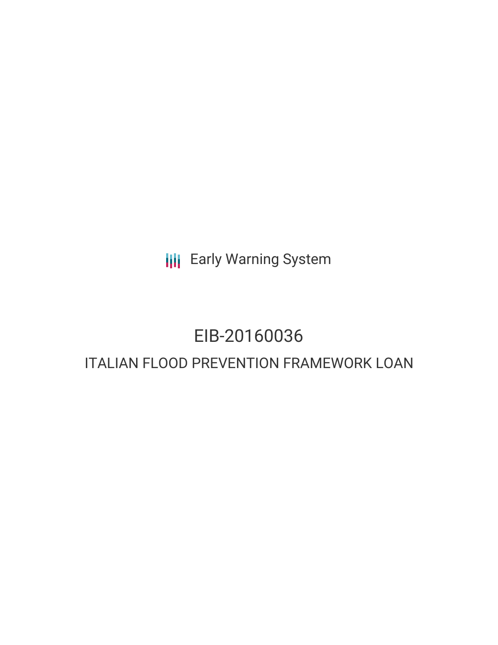**III** Early Warning System

# EIB-20160036 ITALIAN FLOOD PREVENTION FRAMEWORK LOAN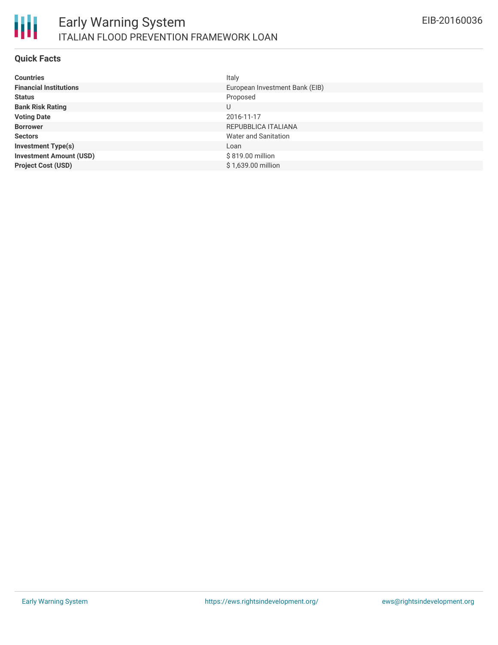

### **Quick Facts**

| <b>Countries</b>               | Italy                          |
|--------------------------------|--------------------------------|
| <b>Financial Institutions</b>  | European Investment Bank (EIB) |
| <b>Status</b>                  | Proposed                       |
| <b>Bank Risk Rating</b>        | U                              |
| <b>Voting Date</b>             | 2016-11-17                     |
| <b>Borrower</b>                | REPUBBLICA ITALIANA            |
| <b>Sectors</b>                 | Water and Sanitation           |
| <b>Investment Type(s)</b>      | Loan                           |
| <b>Investment Amount (USD)</b> | \$819.00 million               |
| <b>Project Cost (USD)</b>      | \$1,639.00 million             |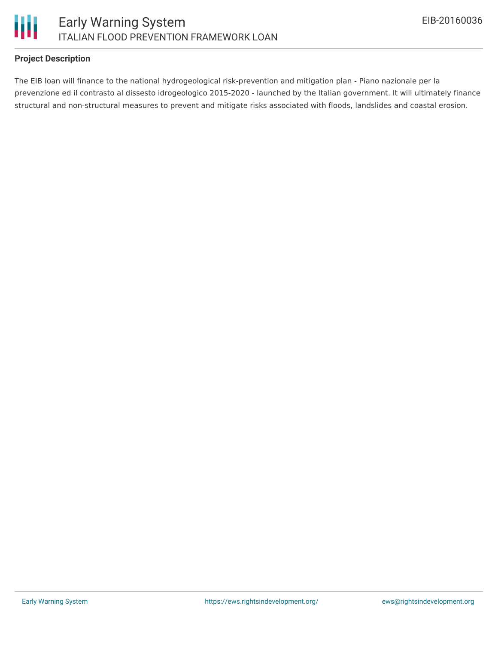

# ITALIAN FLOOD PREVENTION FRAMEWORK LOAN

# **Project Description**

The EIB loan will finance to the national hydrogeological risk-prevention and mitigation plan - Piano nazionale per la prevenzione ed il contrasto al dissesto idrogeologico 2015-2020 - launched by the Italian government. It will ultimately finance structural and non-structural measures to prevent and mitigate risks associated with floods, landslides and coastal erosion.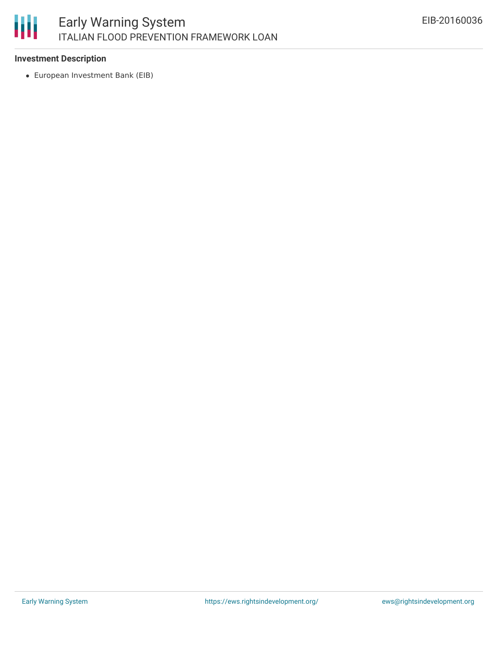# 朋 Early Warning System ITALIAN FLOOD PREVENTION FRAMEWORK LOAN

### **Investment Description**

European Investment Bank (EIB)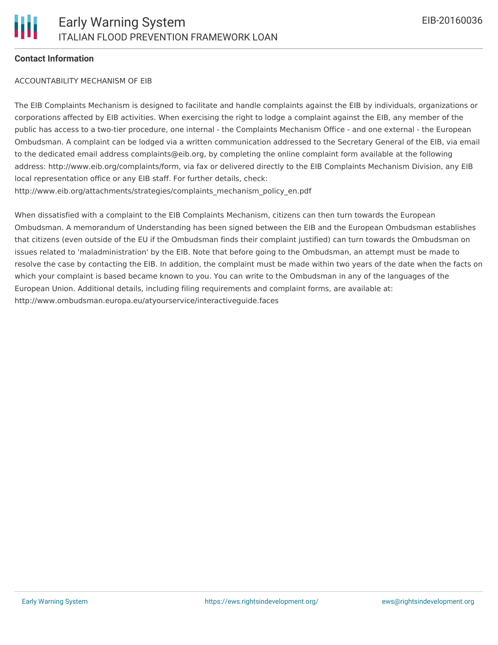### **Contact Information**

### ACCOUNTABILITY MECHANISM OF EIB

The EIB Complaints Mechanism is designed to facilitate and handle complaints against the EIB by individuals, organizations or corporations affected by EIB activities. When exercising the right to lodge a complaint against the EIB, any member of the public has access to a two-tier procedure, one internal - the Complaints Mechanism Office - and one external - the European Ombudsman. A complaint can be lodged via a written communication addressed to the Secretary General of the EIB, via email to the dedicated email address complaints@eib.org, by completing the online complaint form available at the following address: http://www.eib.org/complaints/form, via fax or delivered directly to the EIB Complaints Mechanism Division, any EIB local representation office or any EIB staff. For further details, check: http://www.eib.org/attachments/strategies/complaints\_mechanism\_policy\_en.pdf

When dissatisfied with a complaint to the EIB Complaints Mechanism, citizens can then turn towards the European Ombudsman. A memorandum of Understanding has been signed between the EIB and the European Ombudsman establishes that citizens (even outside of the EU if the Ombudsman finds their complaint justified) can turn towards the Ombudsman on issues related to 'maladministration' by the EIB. Note that before going to the Ombudsman, an attempt must be made to resolve the case by contacting the EIB. In addition, the complaint must be made within two years of the date when the facts on which your complaint is based became known to you. You can write to the Ombudsman in any of the languages of the European Union. Additional details, including filing requirements and complaint forms, are available at: http://www.ombudsman.europa.eu/atyourservice/interactiveguide.faces